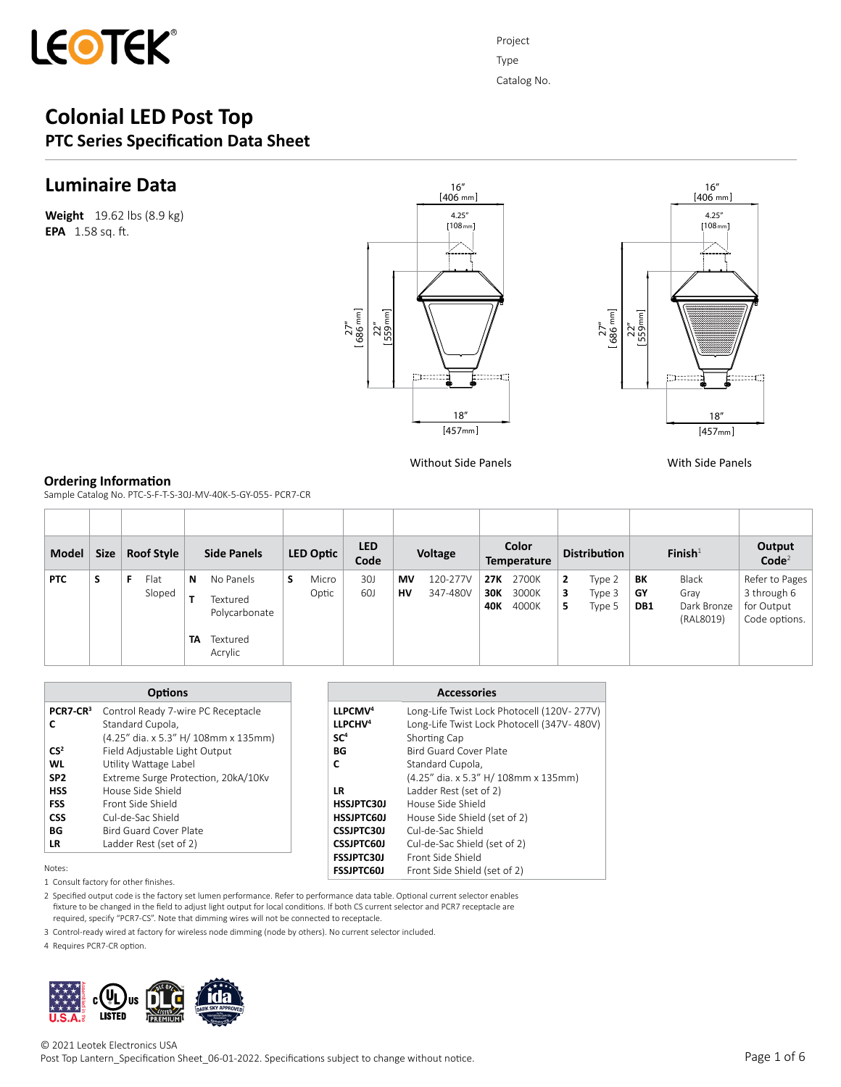

## **Luminaire Data**

**Weight** 19.62 lbs (8.9 kg) **EPA** 1.58 sq. ft.





Without Side Panels With Side Panels

### **Ordering Information**

Sample Catalog No. PTC-S-F-T-S-30J-MV-40K-5-GY-055- PCR7-CR

| Model      | <b>Size</b> | <b>Roof Style</b> |         | <b>Side Panels</b>                                            | LED Optic      | <b>LED</b><br>Code |          | Voltage              |                          | Color<br><b>Temperature</b> |             | <b>Distribution</b>        |                 | $F$ inish $1$                             | Output<br>Code <sup>2</sup>                                  |
|------------|-------------|-------------------|---------|---------------------------------------------------------------|----------------|--------------------|----------|----------------------|--------------------------|-----------------------------|-------------|----------------------------|-----------------|-------------------------------------------|--------------------------------------------------------------|
| <b>PTC</b> | S           | Flat<br>Sloped    | N<br>TA | No Panels<br>Textured<br>Polycarbonate<br>Textured<br>Acrylic | Micro<br>Optic | 30J<br>60J         | МV<br>HV | 120-277V<br>347-480V | <b>27K</b><br>30K<br>40K | 2700K<br>3000K<br>4000K     | 2<br>3<br>5 | Type 2<br>Type 3<br>Type 5 | BK<br>GΥ<br>DB1 | Black<br>Gray<br>Dark Bronze<br>(RAL8019) | Refer to Pages<br>3 through 6<br>for Output<br>Code options. |

|                      | <b>Options</b>                       |                     | <b>Accessories</b>                         |
|----------------------|--------------------------------------|---------------------|--------------------------------------------|
| PCR7-CR <sup>3</sup> | Control Ready 7-wire PC Receptacle   | LLPCMV <sup>4</sup> | Long-Life Twist Lock Photocell (120V-277V) |
|                      | Standard Cupola,                     | LLPCHV <sup>4</sup> | Long-Life Twist Lock Photocell (347V-480V) |
|                      | (4.25" dia. x 5.3" H/ 108mm x 135mm) | SC <sup>4</sup>     | Shorting Cap                               |
| CS <sup>2</sup>      | Field Adjustable Light Output        | BG                  | <b>Bird Guard Cover Plate</b>              |
| WL                   | Utility Wattage Label                | C                   | Standard Cupola,                           |
| SP <sub>2</sub>      | Extreme Surge Protection, 20kA/10Kv  |                     | (4.25" dia. x 5.3" H/ 108mm x 135mm)       |
| <b>HSS</b>           | House Side Shield                    | <b>LR</b>           | Ladder Rest (set of 2)                     |
| <b>FSS</b>           | Front Side Shield                    | <b>HSSJPTC30J</b>   | House Side Shield                          |
| <b>CSS</b>           | Cul-de-Sac Shield                    | <b>HSSJPTC60J</b>   | House Side Shield (set of 2)               |
| BG                   | Bird Guard Cover Plate               | <b>CSSJPTC30J</b>   | Cul-de-Sac Shield                          |
| <b>LR</b>            | Ladder Rest (set of 2)               | <b>CSSJPTC60J</b>   | Cul-de-Sac Shield (set of 2)               |
|                      |                                      | <b>FSSJPTC30J</b>   | Front Side Shield                          |
| Notes:               |                                      | <b>FSSJPTC60J</b>   | Front Side Shield (set of 2)               |

1 Consult factory for other finishes.

2 Specified output code is the factory set lumen performance. Refer to performance data table. Optional current selector enables fixture to be changed in the field to adjust light output for local conditions. If both CS current selector and PCR7 receptacle are required, specify "PCR7-CS". Note that dimming wires will not be connected to receptacle.

3 Control-ready wired at factory for wireless node dimming (node by others). No current selector included.

4 Requires PCR7-CR option.



© 2021 Leotek Electronics USA

Post Top Lantern\_Specification Sheet\_06-01-2022. Specifications subject to change without notice.

Project Type Catalog No.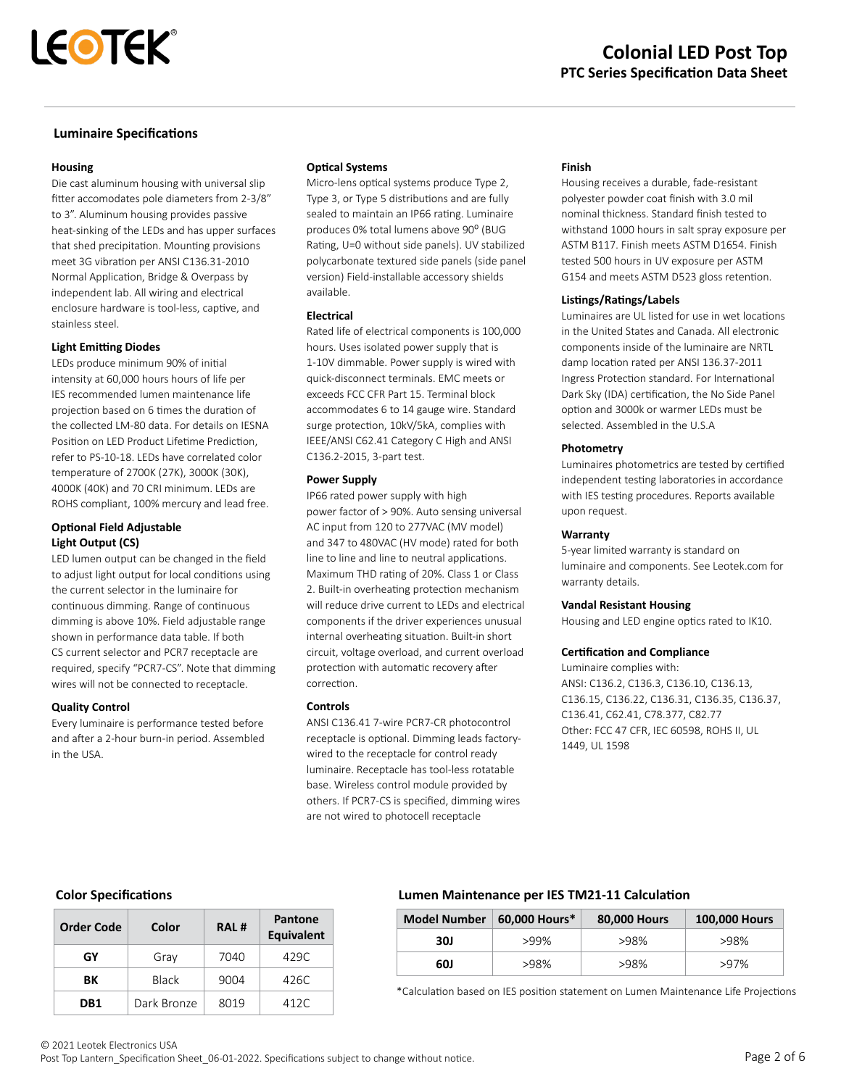## **Luminaire Specifications**

### **Housing**

Die cast aluminum housing with universal slip fitter accomodates pole diameters from 2-3/8" to 3". Aluminum housing provides passive heat-sinking of the LEDs and has upper surfaces that shed precipitation. Mounting provisions meet 3G vibration per ANSI C136.31-2010 Normal Application, Bridge & Overpass by independent lab. All wiring and electrical enclosure hardware is tool-less, captive, and stainless steel.

## **Light Emitting Diodes**

LEDs produce minimum 90% of initial intensity at 60,000 hours hours of life per IES recommended lumen maintenance life projection based on 6 times the duration of the collected LM-80 data. For details on IESNA Position on LED Product Lifetime Prediction, refer to PS-10-18. LEDs have correlated color temperature of 2700K (27K), 3000K (30K), 4000K (40K) and 70 CRI minimum. LEDs are ROHS compliant, 100% mercury and lead free.

## **Optional Field Adjustable Light Output (CS)**

LED lumen output can be changed in the field to adjust light output for local conditions using the current selector in the luminaire for continuous dimming. Range of continuous dimming is above 10%. Field adjustable range shown in performance data table. If both CS current selector and PCR7 receptacle are required, specify "PCR7-CS". Note that dimming wires will not be connected to receptacle.

## **Quality Control**

Every luminaire is performance tested before and after a 2-hour burn-in period. Assembled in the USA.

## **Optical Systems**

Micro-lens optical systems produce Type 2, Type 3, or Type 5 distributions and are fully sealed to maintain an IP66 rating. Luminaire produces 0% total lumens above 90° (BUG Rating, U=0 without side panels). UV stabilized polycarbonate textured side panels (side panel version) Field-installable accessory shields available.

## **Electrical**

Rated life of electrical components is 100,000 hours. Uses isolated power supply that is 1-10V dimmable. Power supply is wired with quick-disconnect terminals. EMC meets or exceeds FCC CFR Part 15. Terminal block accommodates 6 to 14 gauge wire. Standard surge protection, 10kV/5kA, complies with IEEE/ANSI C62.41 Category C High and ANSI C136.2-2015, 3-part test.

### **Power Supply**

IP66 rated power supply with high power factor of > 90%. Auto sensing universal AC input from 120 to 277VAC (MV model) and 347 to 480VAC (HV mode) rated for both line to line and line to neutral applications. Maximum THD rating of 20%. Class 1 or Class 2. Built-in overheating protection mechanism will reduce drive current to LEDs and electrical components if the driver experiences unusual internal overheating situation. Built-in short circuit, voltage overload, and current overload protection with automatic recovery after correction.

## **Controls**

ANSI C136.41 7-wire PCR7-CR photocontrol receptacle is optional. Dimming leads factorywired to the receptacle for control ready luminaire. Receptacle has tool-less rotatable base. Wireless control module provided by others. If PCR7-CS is specified, dimming wires are not wired to photocell receptacle

### **Finish**

Housing receives a durable, fade-resistant polyester powder coat finish with 3.0 mil nominal thickness. Standard finish tested to withstand 1000 hours in salt spray exposure per ASTM B117. Finish meets ASTM D1654. Finish tested 500 hours in UV exposure per ASTM G154 and meets ASTM D523 gloss retention.

### **Listings/Ratings/Labels**

Luminaires are UL listed for use in wet locations in the United States and Canada. All electronic components inside of the luminaire are NRTL damp location rated per ANSI 136.37-2011 Ingress Protection standard. For International Dark Sky (IDA) certification, the No Side Panel option and 3000k or warmer LEDs must be selected. Assembled in the U.S.A

### **Photometry**

Luminaires photometrics are tested by certified independent testing laboratories in accordance with IES testing procedures. Reports available upon request.

## **Warranty**

5-year limited warranty is standard on luminaire and components. See Leotek.com for warranty details.

## **Vandal Resistant Housing**

Housing and LED engine optics rated to IK10.

## **Certification and Compliance**

Luminaire complies with: ANSI: C136.2, C136.3, C136.10, C136.13, C136.15, C136.22, C136.31, C136.35, C136.37, C136.41, C62.41, C78.377, C82.77 Other: FCC 47 CFR, IEC 60598, ROHS II, UL 1449, UL 1598

## **Color Specifications**

| <b>Order Code</b> | Color        | <b>RAL#</b> | Pantone<br><b>Equivalent</b> |  |
|-------------------|--------------|-------------|------------------------------|--|
| GY                | Gray         | 7040        | 429C                         |  |
| BК                | <b>Black</b> | 9004        | 426C                         |  |
| DB <sub>1</sub>   | Dark Bronze  | 8019        | 412C                         |  |

## **Lumen Maintenance per IES TM21-11 Calculation**

| <b>Model Number</b> | 60,000 Hours* | 80,000 Hours | 100,000 Hours |  |
|---------------------|---------------|--------------|---------------|--|
| 30J                 | $>99\%$       | >98%         | >98%          |  |
| 60J                 | >98%          | >98%         | >97%          |  |

\*Calculation based on IES position statement on Lumen Maintenance Life Projections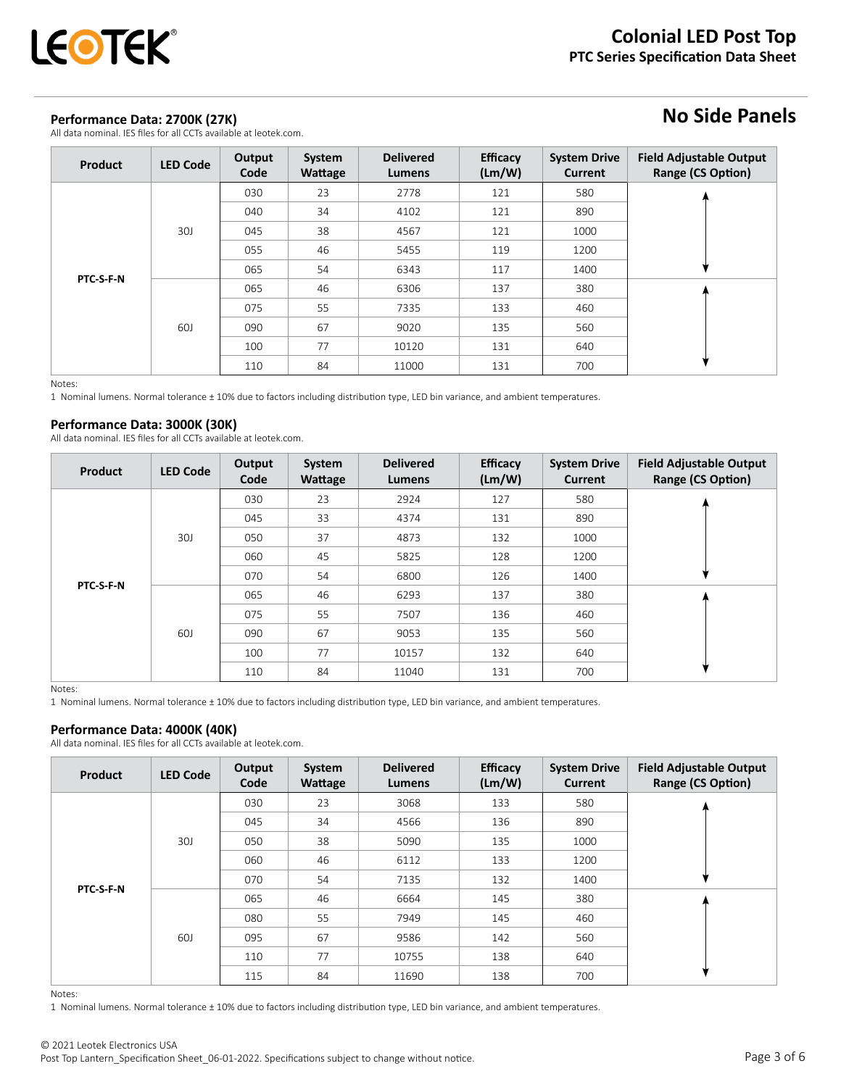

## **Performance Data: 2700K (27K)**

All data nominal. IES files for all CCTs available at leotek.com.

# **No Side Panels**

| <b>Product</b> | <b>LED Code</b> | Output<br>Code | System<br>Wattage | <b>Delivered</b><br>Lumens | <b>Efficacy</b><br>(Lm/W) | <b>System Drive</b><br>Current | <b>Field Adjustable Output</b><br><b>Range (CS Option)</b> |
|----------------|-----------------|----------------|-------------------|----------------------------|---------------------------|--------------------------------|------------------------------------------------------------|
|                |                 | 030            | 23                | 2778                       | 121                       | 580                            |                                                            |
|                |                 | 040            | 34                | 4102                       | 121                       | 890                            |                                                            |
|                | 30J             | 045            | 38                | 4567                       | 121                       | 1000                           |                                                            |
|                |                 | 055            | 46                | 5455                       | 119                       | 1200                           |                                                            |
|                |                 | 065            | 54                | 6343                       | 117                       | 1400                           |                                                            |
| PTC-S-F-N      |                 | 065            | 46                | 6306                       | 137                       | 380                            |                                                            |
|                |                 | 075            | 55                | 7335                       | 133                       | 460                            |                                                            |
|                | 60J             | 090            | 67                | 9020                       | 135                       | 560                            |                                                            |
|                |                 | 100            | 77                | 10120                      | 131                       | 640                            |                                                            |
|                |                 | 110            | 84                | 11000                      | 131                       | 700                            |                                                            |

Notes:

1 Nominal lumens. Normal tolerance ± 10% due to factors including distribution type, LED bin variance, and ambient temperatures.

## **Performance Data: 3000K (30K)**

All data nominal. IES files for all CCTs available at leotek.com.

| Product   | <b>LED Code</b> | Output<br>Code | System<br>Wattage | <b>Delivered</b><br>Lumens | <b>Efficacy</b><br>(Lm/W) | <b>System Drive</b><br><b>Current</b> | <b>Field Adjustable Output</b><br><b>Range (CS Option)</b> |
|-----------|-----------------|----------------|-------------------|----------------------------|---------------------------|---------------------------------------|------------------------------------------------------------|
|           |                 | 030            | 23                | 2924                       | 127                       | 580                                   |                                                            |
|           |                 | 045            | 33                | 4374                       | 131                       | 890                                   |                                                            |
|           | 30J             | 050            | 37                | 4873                       | 132                       | 1000                                  |                                                            |
|           |                 | 060            | 45                | 5825                       | 128                       | 1200                                  |                                                            |
|           |                 | 070            | 54                | 6800                       | 126                       | 1400                                  |                                                            |
| PTC-S-F-N |                 | 065            | 46                | 6293                       | 137                       | 380                                   |                                                            |
|           |                 | 075            | 55                | 7507                       | 136                       | 460                                   |                                                            |
|           | 60J             | 090            | 67                | 9053                       | 135                       | 560                                   |                                                            |
|           |                 | 100            | 77                | 10157                      | 132                       | 640                                   |                                                            |
|           |                 | 110            | 84                | 11040                      | 131                       | 700                                   |                                                            |

Notes:

1 Nominal lumens. Normal tolerance ± 10% due to factors including distribution type, LED bin variance, and ambient temperatures.

#### **Performance Data: 4000K (40K)**

All data nominal. IES files for all CCTs available at leotek.com.

| Product   | <b>LED Code</b> | Output<br>Code | System<br>Wattage | <b>Delivered</b><br>Lumens | <b>Efficacy</b><br>(Lm/W) | <b>System Drive</b><br><b>Current</b> | <b>Field Adjustable Output</b><br><b>Range (CS Option)</b> |
|-----------|-----------------|----------------|-------------------|----------------------------|---------------------------|---------------------------------------|------------------------------------------------------------|
|           |                 | 030            | 23                | 3068                       | 133                       | 580                                   |                                                            |
|           |                 | 045            | 34                | 4566                       | 136                       | 890                                   |                                                            |
|           | 30J             | 050            | 38                | 5090                       | 135                       | 1000                                  |                                                            |
|           |                 | 060            | 46                | 6112                       | 133                       | 1200                                  |                                                            |
| PTC-S-F-N |                 | 070            | 54                | 7135                       | 132                       | 1400                                  |                                                            |
|           |                 | 065            | 46                | 6664                       | 145                       | 380                                   |                                                            |
|           |                 | 080            | 55                | 7949                       | 145                       | 460                                   |                                                            |
|           | 60J             | 095            | 67                | 9586                       | 142                       | 560                                   |                                                            |
|           |                 | 110            | 77                | 10755                      | 138                       | 640                                   |                                                            |
|           |                 | 115            | 84                | 11690                      | 138                       | 700                                   |                                                            |

Notes:

1 Nominal lumens. Normal tolerance ± 10% due to factors including distribution type, LED bin variance, and ambient temperatures.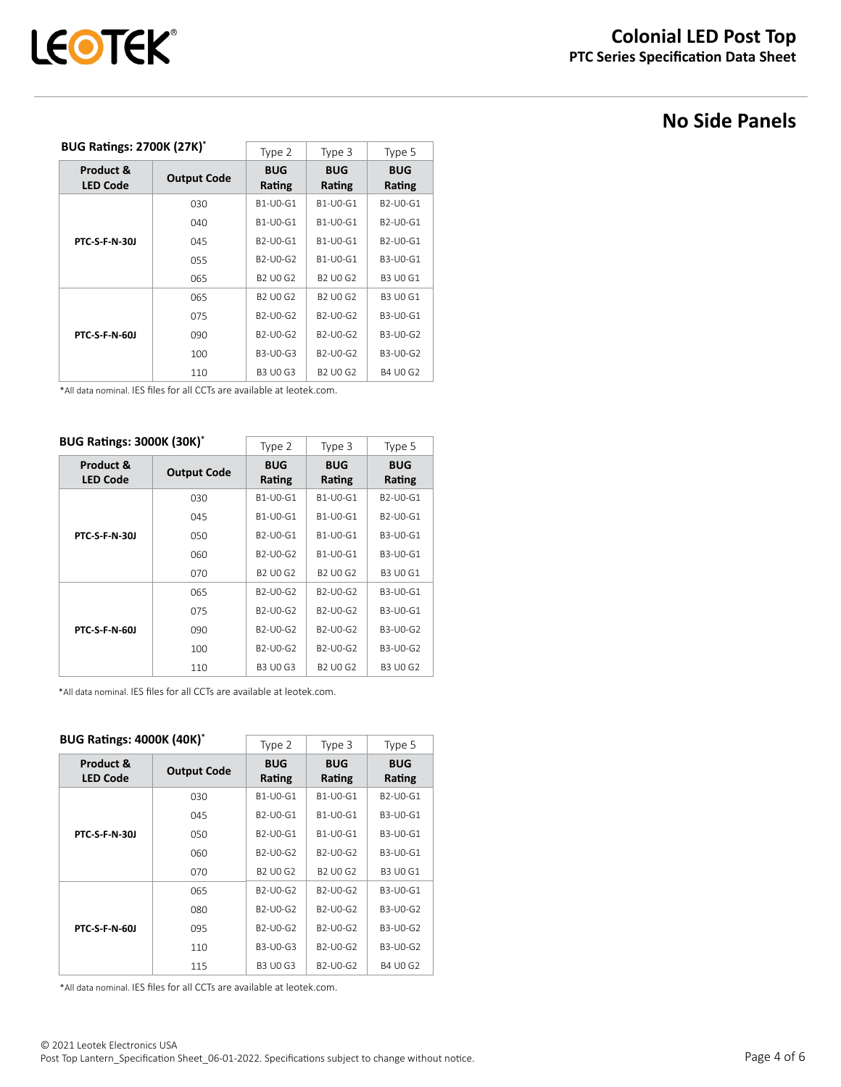# **No Side Panels**

### **BUG Ratings: 2700K (27K)\***

| <b>BUG Ratings: 2700K (27K)*</b> |                    | Type 2                                         | Type 3                                         | Type 5                                         |
|----------------------------------|--------------------|------------------------------------------------|------------------------------------------------|------------------------------------------------|
| Product &<br><b>LED Code</b>     | <b>Output Code</b> | <b>BUG</b><br>Rating                           | <b>BUG</b><br>Rating                           | <b>BUG</b><br>Rating                           |
|                                  | 030                | B1-U0-G1                                       | B1-U0-G1                                       | B <sub>2</sub> -U <sub>0</sub> -G <sub>1</sub> |
|                                  | 040                | B1-U0-G1                                       | B1-U0-G1                                       | B <sub>2</sub> -U <sub>0</sub> -G <sub>1</sub> |
| <b>PTC S F N 301</b>             | 045                | B <sub>2</sub> -U <sub>0</sub> -G <sub>1</sub> | B1-U0-G1                                       | B <sub>2</sub> -U <sub>0</sub> -G <sub>1</sub> |
|                                  | 055                | B <sub>2</sub> -U <sub>0</sub> -G <sub>2</sub> | B1-U0-G1                                       | B3-U0-G1                                       |
|                                  | 065                | B <sub>2</sub> U <sub>0</sub> G <sub>2</sub>   | B <sub>2</sub> UQ G <sub>2</sub>               | <b>B3 U0 G1</b>                                |
|                                  | 065                | B <sub>2</sub> UQ G <sub>2</sub>               | B <sub>2</sub> UQ G <sub>2</sub>               | <b>B3 U0 G1</b>                                |
|                                  | 075                | B <sub>2</sub> -U <sub>0</sub> -G <sub>2</sub> | B <sub>2</sub> -U <sub>0</sub> -G <sub>2</sub> | B3-U0-G1                                       |
| <b>PTC S F N 601</b>             | 090                | B <sub>2</sub> -U <sub>0</sub> -G <sub>2</sub> | B <sub>2</sub> -U <sub>0</sub> -G <sub>2</sub> | B3-U0-G2                                       |
|                                  | 100                | B3-U0-G3                                       | B <sub>2</sub> -U <sub>0</sub> -G <sub>2</sub> | B3-U0-G2                                       |
|                                  | 110                | <b>B3 U0 G3</b>                                | B <sub>2</sub> U <sub>0</sub> G <sub>2</sub>   | <b>B4 U0 G2</b>                                |

\*All data nominal. IES files for all CCTs are available at leotek.com.

## **BUG Ratings: 3000K (30K)\***

| <b>BUG Ratings: 3000K (30K)*</b> |                    | Type 2                                         | Type 3                                         | Type 5                                         |  |  |  |  |
|----------------------------------|--------------------|------------------------------------------------|------------------------------------------------|------------------------------------------------|--|--|--|--|
| Product &<br><b>LED Code</b>     | <b>Output Code</b> | <b>BUG</b><br>Rating                           | <b>BUG</b><br>Rating                           | <b>BUG</b><br>Rating                           |  |  |  |  |
|                                  | 030                | B1-U0-G1                                       | B1-U0-G1                                       | B <sub>2</sub> -U <sub>0</sub> -G <sub>1</sub> |  |  |  |  |
|                                  | 045                | B1-U0-G1                                       | B1-U0-G1                                       | B <sub>2</sub> -U <sub>0</sub> -G <sub>1</sub> |  |  |  |  |
| <b>PTC S F N 301</b>             | 050                | B <sub>2</sub> -U <sub>0</sub> -G <sub>1</sub> | B1-U0-G1                                       | B3-U0-G1                                       |  |  |  |  |
|                                  | 060                | B <sub>2</sub> -U <sub>0</sub> -G <sub>2</sub> | B1-U0-G1                                       | B3-U0-G1                                       |  |  |  |  |
|                                  | 070                | B <sub>2</sub> UQ G <sub>2</sub>               | B <sub>2</sub> UQ G <sub>2</sub>               | <b>B3 U0 G1</b>                                |  |  |  |  |
|                                  | 065                | B <sub>2</sub> -U <sub>0</sub> -G <sub>2</sub> | B <sub>2</sub> -U <sub>0</sub> -G <sub>2</sub> | B3-U0-G1                                       |  |  |  |  |
|                                  | 075                | B <sub>2</sub> -U <sub>0</sub> -G <sub>2</sub> | B <sub>2</sub> -U <sub>0</sub> -G <sub>2</sub> | B3-U0-G1                                       |  |  |  |  |
| <b>PTC S F N 601</b>             | 090                | B <sub>2</sub> -U <sub>0</sub> -G <sub>2</sub> | B <sub>2</sub> -U <sub>0</sub> -G <sub>2</sub> | B3-U0-G2                                       |  |  |  |  |
|                                  | 100                | B <sub>2</sub> -U <sub>0</sub> -G <sub>2</sub> | B <sub>2</sub> -U <sub>0</sub> -G <sub>2</sub> | B3-U0-G2                                       |  |  |  |  |
|                                  | 110                | <b>B3 U0 G3</b>                                | B <sub>2</sub> U <sub>0</sub> G <sub>2</sub>   | B3 U0 G2                                       |  |  |  |  |

 $\overline{\phantom{0}}$ 

\*All data nominal. IES files for all CCTs are available at leotek.com.

## **BUG Ratings: 4000K (40K)\***

| DUU NALIHIKS. 4000N (40N)    |                    | Type 2                                         | Type 3                                         | Type 5               |  |
|------------------------------|--------------------|------------------------------------------------|------------------------------------------------|----------------------|--|
| Product &<br><b>LED Code</b> | <b>Output Code</b> | <b>BUG</b><br>Rating                           | <b>BUG</b><br>Rating                           | <b>BUG</b><br>Rating |  |
|                              | 030                | B1-U0-G1                                       | B1-U0-G1                                       | B2-U0-G1             |  |
|                              | 045                | B <sub>2</sub> -U <sub>0</sub> -G <sub>1</sub> | B1-U0-G1                                       | B3-U0-G1             |  |
| <b>PTC S F N 301</b>         | 050                | B <sub>2</sub> -U <sub>0</sub> -G <sub>1</sub> | B1-U0-G1                                       | B3-U0-G1             |  |
|                              | 060                | B2-U0-G2                                       | B2-U0-G2                                       | B3-U0-G1             |  |
|                              | 070                | <b>B2 U0 G2</b>                                | <b>B2 U0 G2</b>                                | <b>B3 U0 G1</b>      |  |
|                              | 065                | B <sub>2</sub> -U <sub>0</sub> -G <sub>2</sub> | B <sub>2</sub> -U <sub>0</sub> -G <sub>2</sub> | B3-U0-G1             |  |
|                              | 080                | B <sub>2</sub> -U <sub>0</sub> -G <sub>2</sub> | B <sub>2</sub> -U <sub>0</sub> -G <sub>2</sub> | B3-U0-G2             |  |
| <b>PTC-S-F-N-60J</b>         | 095                | B2-U0-G2                                       | B <sub>2</sub> -U <sub>0</sub> -G <sub>2</sub> | B3-U0-G2             |  |
|                              | 110                | B3-U0-G3                                       | B2-U0-G2                                       | B3-U0-G2             |  |
|                              | 115                | <b>B3 U0 G3</b>                                | B2-U0-G2                                       | <b>B4 U0 G2</b>      |  |

\*All data nominal. IES files for all CCTs are available at leotek.com.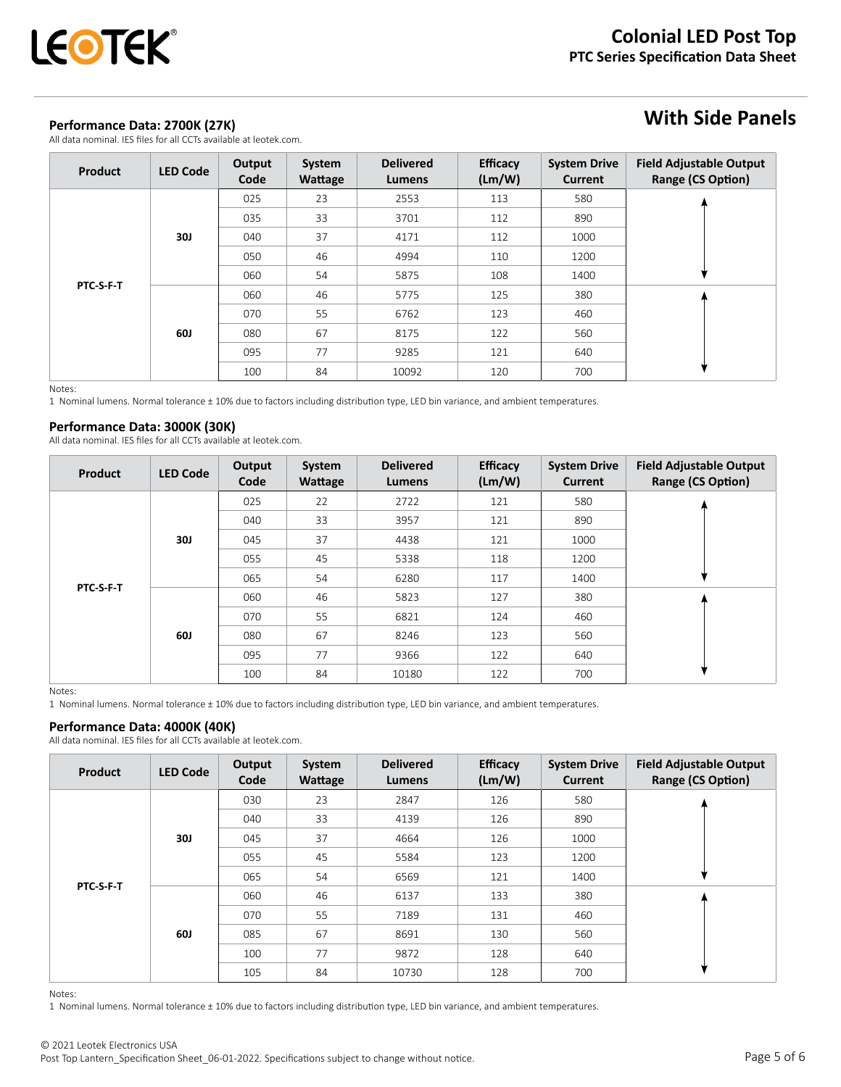## **Performance Data: 2700K (27K)**

All data nominal. IES files for all CCTs available at leotek.com.

# **With Side Panels**

| Product   | <b>LED Code</b> | Output<br>Code | System<br>Wattage | <b>Delivered</b><br>Lumens | <b>Efficacy</b><br>(Lm/W) | <b>System Drive</b><br><b>Current</b> | <b>Field Adjustable Output</b><br><b>Range (CS Option)</b> |
|-----------|-----------------|----------------|-------------------|----------------------------|---------------------------|---------------------------------------|------------------------------------------------------------|
|           |                 | 025            | 23                | 2553                       | 113                       | 580                                   |                                                            |
|           |                 | 035            | 33                | 3701                       | 112                       | 890                                   |                                                            |
|           | <b>30J</b>      | 040            | 37                | 4171                       | 112                       | 1000                                  |                                                            |
|           |                 | 050            | 46                | 4994                       | 110                       | 1200                                  |                                                            |
|           |                 | 060            | 54                | 5875                       | 108                       | 1400                                  |                                                            |
| PTC-S-F-T |                 | 060            | 46                | 5775                       | 125                       | 380                                   |                                                            |
|           |                 | 070            | 55                | 6762                       | 123                       | 460                                   |                                                            |
|           | <b>60J</b>      | 080            | 67                | 8175                       | 122                       | 560                                   |                                                            |
|           |                 | 095            | 77                | 9285                       | 121                       | 640                                   |                                                            |
|           |                 | 100            | 84                | 10092                      | 120                       | 700                                   |                                                            |

Notes:

1 Nominal lumens. Normal tolerance ± 10% due to factors including distribution type, LED bin variance, and ambient temperatures.

## **Performance Data: 3000K (30K)**

All data nominal. IES files for all CCTs available at leotek.com.

| Product   | <b>LED Code</b> | Output<br>Code | System<br>Wattage | <b>Delivered</b><br>Lumens | <b>Efficacy</b><br>(Lm/W) | <b>System Drive</b><br><b>Current</b> | <b>Field Adjustable Output</b><br><b>Range (CS Option)</b> |
|-----------|-----------------|----------------|-------------------|----------------------------|---------------------------|---------------------------------------|------------------------------------------------------------|
|           |                 | 025            | 22                | 2722                       | 121                       | 580                                   |                                                            |
|           |                 | 040            | 33                | 3957                       | 121                       | 890                                   |                                                            |
|           | <b>30J</b>      | 045            | 37                | 4438                       | 121                       | 1000                                  |                                                            |
|           |                 | 055            | 45                | 5338                       | 118                       | 1200                                  |                                                            |
| PTC-S-F-T |                 | 065            | 54                | 6280                       | 117                       | 1400                                  |                                                            |
|           |                 | 060            | 46                | 5823                       | 127                       | 380                                   |                                                            |
|           |                 | 070            | 55                | 6821                       | 124                       | 460                                   |                                                            |
|           | <b>60J</b>      | 080            | 67                | 8246                       | 123                       | 560                                   |                                                            |
|           |                 | 095            | 77                | 9366                       | 122                       | 640                                   |                                                            |
|           |                 | 100            | 84                | 10180                      | 122                       | 700                                   |                                                            |

Notes:

1 Nominal lumens. Normal tolerance ± 10% due to factors including distribution type, LED bin variance, and ambient temperatures.

### **Performance Data: 4000K (40K)**

All data nominal. IES files for all CCTs available at leotek.com.

| Product   | <b>LED Code</b> | Output<br>Code | System<br>Wattage | <b>Delivered</b><br>Lumens | <b>Efficacy</b><br>(Lm/W) | <b>System Drive</b><br>Current | <b>Field Adjustable Output</b><br><b>Range (CS Option)</b> |
|-----------|-----------------|----------------|-------------------|----------------------------|---------------------------|--------------------------------|------------------------------------------------------------|
| PTC-S-F-T | <b>30J</b>      | 030            | 23                | 2847                       | 126                       | 580                            |                                                            |
|           |                 | 040            | 33                | 4139                       | 126                       | 890                            |                                                            |
|           |                 | 045            | 37                | 4664                       | 126                       | 1000                           |                                                            |
|           |                 | 055            | 45                | 5584                       | 123                       | 1200                           |                                                            |
|           |                 | 065            | 54                | 6569                       | 121                       | 1400                           |                                                            |
|           | 60J             | 060            | 46                | 6137                       | 133                       | 380                            |                                                            |
|           |                 | 070            | 55                | 7189                       | 131                       | 460                            |                                                            |
|           |                 | 085            | 67                | 8691                       | 130                       | 560                            |                                                            |
|           |                 | 100            | 77                | 9872                       | 128                       | 640                            |                                                            |
|           |                 | 105            | 84                | 10730                      | 128                       | 700                            |                                                            |

Notes:

1 Nominal lumens. Normal tolerance ± 10% due to factors including distribution type, LED bin variance, and ambient temperatures.